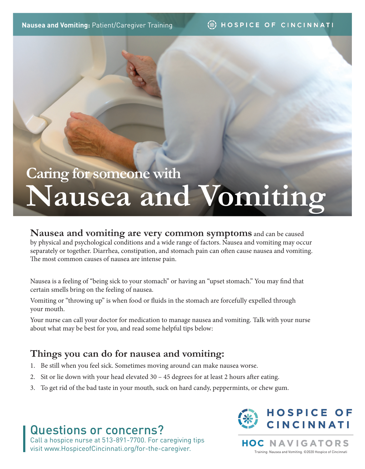#### **SECTION HOSPICE OF CINCINNATI**

# **Nausea and Vomiting Caring for someone with**

### **Nausea and vomiting are very common symptoms** and can be caused

by physical and psychological conditions and a wide range of factors. Nausea and vomiting may occur separately or together. Diarrhea, constipation, and stomach pain can often cause nausea and vomiting. The most common causes of nausea are intense pain.

Nausea is a feeling of "being sick to your stomach" or having an "upset stomach." You may find that certain smells bring on the feeling of nausea.

Vomiting or "throwing up" is when food or fluids in the stomach are forcefully expelled through your mouth.

Your nurse can call your doctor for medication to manage nausea and vomiting. Talk with your nurse about what may be best for you, and read some helpful tips below:

## **Things you can do for nausea and vomiting:**

- 1. Be still when you feel sick. Sometimes moving around can make nausea worse.
- 2. Sit or lie down with your head elevated 30 45 degrees for at least 2 hours after eating.
- 3. To get rid of the bad taste in your mouth, suck on hard candy, peppermints, or chew gum.

## Questions or concerns?

Call a hospice nurse at 513-891-7700. For caregiving tips visit www.HospiceofCincinnati.org/for-the-caregiver.



**NAVIGATORS** HOC Training: Nausea and Vomiting. ©2020 Hospice of Cincinnati